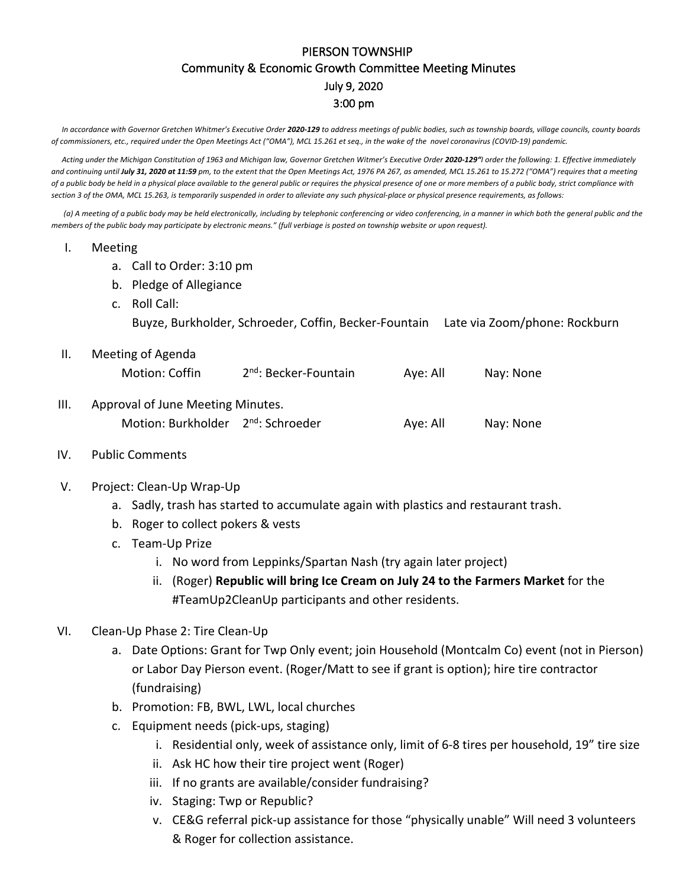## PIERSON TOWNSHIP Community & Economic Growth Committee Meeting Minutes July 9, 2020 3:00 pm

In accordance with Governor Gretchen Whitmer's Executive Order 2020-129 to address meetings of public bodies, such as township boards, village councils, county boards *of commissioners, etc., required under the Open Meetings Act ("OMA"), MCL 15.261 et seq., in the wake of the novel coronavirus (COVID-19) pandemic.*

Acting under the Michigan Constitution of 1963 and Michigan law, Governor Gretchen Witmer's Executive Order 2020-129"<sup>|</sup> order the following: 1. Effective immediately *and continuing until July 31, 2020 at 11:59 pm, to the extent that the Open Meetings Act, 1976 PA 267, as amended, MCL 15.261 to 15.272 ("OMA") requires that a meeting of a public body be held in a physical place available to the general public or requires the physical presence of one or more members of a public body, strict compliance with section 3 of the OMA, MCL 15.263, is temporarily suspended in order to alleviate any such physical-place or physical presence requirements, as follows:*

*(a) A meeting of a public body may be held electronically, including by telephonic conferencing or video conferencing, in a manner in which both the general public and the members of the public body may participate by electronic means." (full verbiage is posted on township website or upon request).*

- I. Meeting
	- a. Call to Order: 3:10 pm
	- b. Pledge of Allegiance
	- c. Roll Call:

Buyze, Burkholder, Schroeder, Coffin, Becker-Fountain Late via Zoom/phone: Rockburn

- II. Meeting of Agenda Motion: Coffin  $2^{nd}$ : Becker-Fountain Aye: All Nay: None III. Approval of June Meeting Minutes.
	- Motion: Burkholder 2<sup>nd</sup>: Schroeder Aye: All Nay: None
- IV. Public Comments
- V. Project: Clean-Up Wrap-Up
	- a. Sadly, trash has started to accumulate again with plastics and restaurant trash.
	- b. Roger to collect pokers & vests
	- c. Team-Up Prize
		- i. No word from Leppinks/Spartan Nash (try again later project)
		- ii. (Roger) **Republic will bring Ice Cream on July 24 to the Farmers Market** for the #TeamUp2CleanUp participants and other residents.
- VI. Clean-Up Phase 2: Tire Clean-Up
	- a. Date Options: Grant for Twp Only event; join Household (Montcalm Co) event (not in Pierson) or Labor Day Pierson event. (Roger/Matt to see if grant is option); hire tire contractor (fundraising)
	- b. Promotion: FB, BWL, LWL, local churches
	- c. Equipment needs (pick-ups, staging)
		- i. Residential only, week of assistance only, limit of 6-8 tires per household, 19" tire size
		- ii. Ask HC how their tire project went (Roger)
		- iii. If no grants are available/consider fundraising?
		- iv. Staging: Twp or Republic?
		- v. CE&G referral pick-up assistance for those "physically unable" Will need 3 volunteers & Roger for collection assistance.